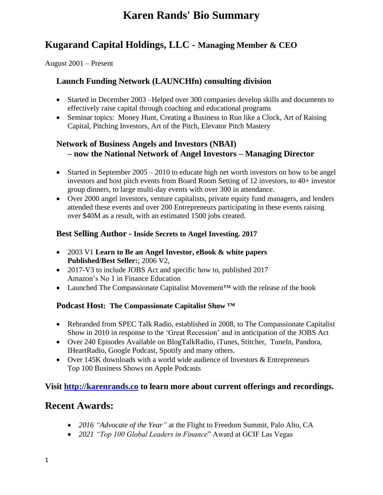# **Karen Rands' Bio Summary**

## **Kugarand Capital Holdings, LLC - Managing Member & CEO**

August 2001 – Present

### **Launch Funding Network (LAUNCHfn) consulting division**

- Started in December 2003 –Helped over 300 companies develop skills and documents to effectively raise capital through coaching and educational programs
- Seminar topics: Money Hunt, Creating a Business to Run like a Clock, Art of Raising Capital, Pitching Investors, Art of the Pitch, Elevator Pitch Mastery

## **Network of Business Angels and Investors (NBAI) – now the National Network of Angel Investors – Managing Director**

- Started in September 2005 2010 to educate high net worth investors on how to be angel investors and host pitch events from Board Room Setting of 12 investors, to 40+ investor group dinners, to large multi-day events with over 300 in attendance.
- Over 2000 angel investors, venture capitalists, private equity fund managers, and lenders attended these events and over 200 Entrepreneurs participating in these events raising over \$40M as a result, with an estimated 1500 jobs created.

#### **Best Selling Author - Inside Secrets to Angel Investing. 2017**

- 2003 V1 **Learn to Be an Angel Investor, eBook & white papers Published/Best Seller:**; 2006 V2,
- 2017-V3 to include JOBS Act and specific how to, published 2017 Amazon's No 1 in Finance Education
- Launched The Compassionate Capitalist Movement™ with the release of the book

#### **Podcast Host: The Compassionate Capitalist Show ™**

- Rebranded from SPEC Talk Radio, established in 2008, to The Compassionate Capitalist Show in 2010 in response to the 'Great Recession' and in anticipation of the JOBS Act
- Over 240 Episodes Available on BlogTalkRadio, iTunes, Stitcher, TuneIn, Pandora, IHeartRadio, Google Podcast, Spotify and many others.
- Over 145K downloads with a world wide audience of Investors & Entrepreneurs Top 100 Business Shows on Apple Podcasts

### **Visit [http://karenrands.co](http://karenrands.co/) to learn more about current offerings and recordings.**

## **Recent Awards:**

- *2016 "Advocate of the Year"* at the Flight to Freedom Summit, Palo Alto, CA
- *2021 "Top 100 Global Leaders in Finance*" Award at GCIF Las Vegas